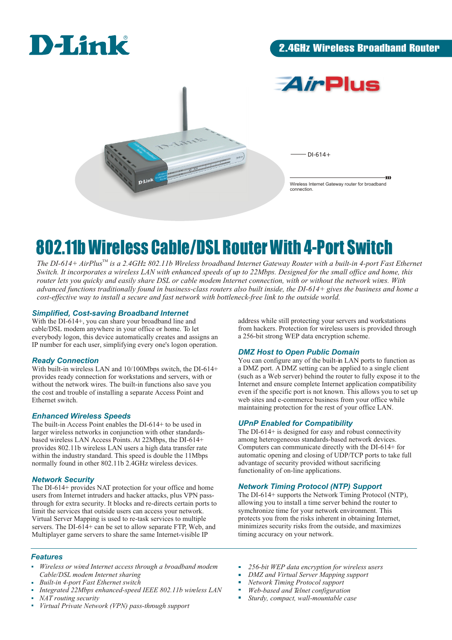



 $-DI-614+$ 

Wireless Internet Gateway router for broadband connection.

y)

# 802.11b Wireless Cable/DSL Router With 4-Port Switch

The DI-614+ AirPlus<sup>TM</sup> is a 2.4GHz 802.11b Wireless broadband Internet Gateway Router with a built-in 4-port Fast Ethernet *Switch. It incorporates a wireless LAN with enhanced speeds of up to 22Mbps. Designed for the small office and home, this router lets you quicky and easily share DSL or cable modem Internet connection, with or without the network wires. With advanced functions traditionally found in business-class routers also built inside, the DI-614+ gives the business and home a cost-effective way to install a secure and fast network with bottleneck-free link to the outside world.*

#### *Simplified, Cost-saving Broadband Internet*

With the DI-614+, you can share your broadband line and cable/DSL modem anywhere in your office or home. To let everybody logon, this device automatically creates and assigns an IP number for each user, simplifying every one's logon operation.

#### *Ready Connection*

With built-in wireless LAN and 10/100Mbps switch, the DI-614+ provides ready connection for workstations and servers, with or without the network wires. The built-in functions also save you the cost and trouble of installing a separate Access Point and Ethernet switch.

#### *Enhanced Wireless Speeds*

The built-in Access Point enables the DI-614+ to be used in larger wireless networks in conjunction with other standardsbased wireless LAN Access Points. At 22Mbps, the DI-614+ provides 802.11b wireless LAN users a high data transfer rate within the industry standard. This speed is double the 11Mbps normally found in other 802.11b 2.4GHz wireless devices.

#### *Network Security*

The DI-614+ provides NAT protection for your office and home users from Internet intruders and hacker attacks, plus VPN passthrough for extra security. It blocks and re-directs certain ports to limit the services that outside users can access your network. Virtual Server Mapping is used to re-task services to multiple servers. The DI-614+ can be set to allow separate FTP, Web, and Multiplayer game servers to share the same Internet-visible IP

#### *Features*

- *Wireless or wired Internet access through a broadband modem Cable/DSL modem Internet sharing*
- *Built-in 4-port Fast Ethernet switch*
- *Integrated 22Mbps enhanced-speed IEEE 802.11b wireless LAN*
- *NAT routing security*
- *Virtual Private Network (VPN) pass-through support*

address while still protecting your servers and workstations from hackers. Protection for wireless users is provided through a 256-bit strong WEP data encryption scheme.

#### *DMZ Host to Open Public Domain*

You can configure any of the built-in LAN ports to function as a DMZ port. A DMZ setting can be applied to a single client (such as a Web server) behind the router to fully expose it to the Internet and ensure complete Internet application compatibility even if the specific port is not known. This allows you to set up web sites and e-commerce business from your office while maintaining protection for the rest of your office LAN.

#### *UPnP Enabled for Compatibility*

The DI-614+ is designed for easy and robust connectivity among heterogeneous standards-based network devices. Computers can communicate directly with the DI-614+ for automatic opening and closing of UDP/TCP ports to take full advantage of security provided without sacrificing functionality of on-line applications.

### *Network Timing Protocol (NTP) Support*

The DI-614+ supports the Network Timing Protocol (NTP), allowing you to install a time server behind the router to symchronize time for your network environment. This protects you from the risks inherent in obtaining Internet, minimizes security risks from the outside, and maximizes timing accuracy on your network.

- *256-bit WEP data encryption for wireless users*   $\bar{\phantom{a}}$
- *DMZ and Virtual Server Mapping support*
- *Network Timing Protocol support*
- 'n *Web-based and Telnet configuration*
- *Sturdy, compact, wall-mountable case*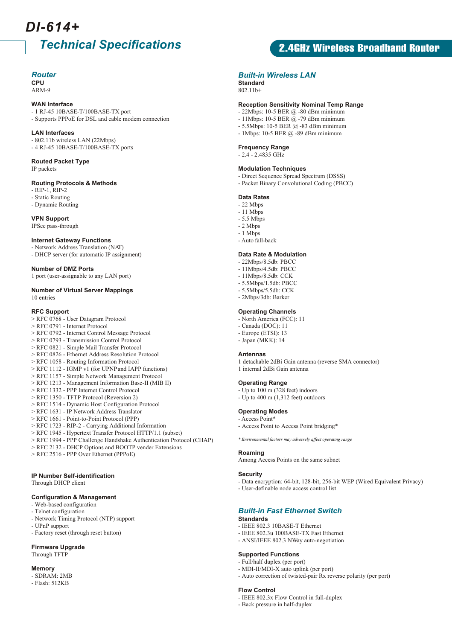# *DI-614+*

# *Technical Specifications*

#### *Router*

**CPU** ARM-9

#### **WAN Interface**

- 1 RJ-45 10BASE-T/100BASE-TX port - Supports PPPoE for DSL and cable modem connection
- **LAN Interfaces**
- 802.11b wireless LAN (22Mbps) - 4 RJ-45 10BASE-T/100BASE-TX ports

#### **Routed Packet Type** IP packets

#### **Routing Protocols & Methods**

- RIP-1, RIP-2

- Static Routing
- Dynamic Routing

#### **VPN Support**

IPSec pass-through

#### **Internet Gateway Functions**

- Network Address Translation (NAT) - DHCP server (for automatic IP assignment)

#### **Number of DMZ Ports**

1 port (user-assignable to any LAN port)

#### **Number of Virtual Server Mappings** 10 entries

#### **RFC Support**

- > RFC 0768 User Datagram Protocol
- > RFC 0791 Internet Protocol
- > RFC 0792 Internet Control Message Protocol
- > RFC 0793 Transmission Control Protocol
- > RFC 0821 Simple Mail Transfer Protocol
- > RFC 0826 Ethernet Address Resolution Protocol > RFC 1058 - Routing Information Protocol
- > RFC 1112 IGMP v1 (for UPNP and IAPP functions)
- > RFC 1157 Simple Network Management Protocol
- > RFC 1213 Management Information Base-II (MIB II)
- > RFC 1332 PPP Internet Control Protocol
- > RFC 1350 TFTP Protocol (Reversion 2)
- > RFC 1514 Dynamic Host Configuration Protocol
- > RFC 1631 IP Network Address Translator
- > RFC 1661 Point-to-Point Protocol (PPP)
- > RFC 1723 RIP-2 Carrying Additional Information
- > RFC 1945 Hypertext Transfer Protocol HTTP/1.1 (subset)
- > RFC 1994 PPP Challenge Handshake Authentication Protocol (CHAP)
- > RFC 2132 DHCP Options and BOOTP vender Extensions
- > RFC 2516 PPP Over Ethernet (PPPoE)

#### **IP Number Self-identification**

Through DHCP client

#### **Configuration & Management**

- Web-based configuration
- Telnet configuration
- Network Timing Protocol (NTP) support
- UPnP support
- Factory reset (through reset button)

#### **Firmware Upgrade**

Through TFTP

#### **Memory**

- SDRAM: 2MB - Flash: 512KB

## 2.4GHz Wireless Broadband Router

#### *Built-in Wireless LAN*

**Standard**  $802.11<sub>b+</sub>$ 

#### **Reception Sensitivity Nominal Temp Range**

- 22Mbps: 10-5 BER @ -80 dBm minimum
- 11Mbps: 10-5 BER @ -79 dBm minimum
- 5.5Mbps: 10-5 BER @ -83 dBm minimum
- 1Mbps: 10-5 BER @ -89 dBm minimum

#### **Frequency Range**

#### - 2.4 - 2.4835 GHz

#### **Modulation Techniques**

- Direct Sequence Spread Spectrum (DSSS)
- Packet Binary Convolutional Coding (PBCC)

#### **Data Rates**

- 22 Mbps
- $-11$  Mbps
- 5.5 Mbps
- $-2$  Mbps - 1 Mbps
- Auto fall-back

#### **Data Rate & Modulation**

- 22Mbps/8.5db: PBCC
- 11Mbps/4.5db: PBCC
- 11Mbps/8.5db: CCK
- 5.5Mbps/1.5db: PBCC
- 5.5Mbps/5.5db: CCK
- 2Mbps/3db: Barker

#### **Operating Channels**

- North America (FCC): 11
- Canada (DOC): 11 - Europe (ETSI): 13
- Japan (MKK): 14
- 

#### **Antennas**

1 detachable 2dBi Gain antenna (reverse SMA connector) 1 internal 2dBi Gain antenna

#### **Operating Range**

- Up to 100 m (328 feet) indoors
- Up to  $400 \text{ m}$   $(1,312 \text{ feet})$  outdoors

#### **Operating Modes**

- Access Point\*
- Access Point to Access Point bridging\*

 *\* Environmental factors may adversely affect operating range*

#### **Roaming**

Among Access Points on the same subnet

#### **Security**

- Data encryption: 64-bit, 128-bit, 256-bit WEP (Wired Equivalent Privacy)
- User-definable node access control list

#### *Built-in Fast Ethernet Switch*

- IEEE 802.3u 100BASE-TX Fast Ethernet - ANSI/IEEE 802.3 NWay auto-negotiation

- MDI-II/MDI-X auto uplink (per port)

- IEEE 802.3x Flow Control in full-duplex

- Auto correction of twisted-pair Rx reverse polarity (per port)

#### **Standards** - IEEE 802.3 10BASE-T Ethernet

**Supported Functions** - Full/half duplex (per port)

- Back pressure in half-duplex

**Flow Control**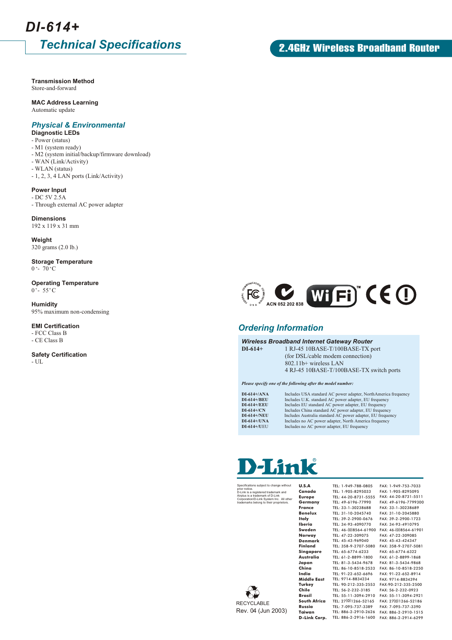# *Technical Specifications DI-614+*

**Transmission Method** Store-and-forward

#### **MAC Address Learning**

Automatic update

### *Physical & Environmental*

**Diagnostic LEDs**

- Power (status)
- M1 (system ready)
- M2 (system initial/backup/firmware download)
- WAN (Link/Activity) - WLAN (status)
- 1, 2, 3, 4 LAN ports (Link/Activity)

**Power Input**

- DC 5V 2.5A

- Through external AC power adapter

**Dimensions** 192 x 119 x 31 mm

**Weight** 320 grams (2.0 lb.)

**Storage Temperature**  $0 - 70$ °C

**Operating Temperature**  $0^{\circ}$ - 55 $^{\circ}$ C

**Humidity** 95% maximum non-condensing

**EMI Certification**

- FCC Class B - CE Class B

**Safety Certification**

 $\sim$  UL  $\,$ 

### 2.4GHz Wireless Broadband Router



#### *Ordering Information*

#### *Wireless Broadband Internet Gateway Router*

**DI-614+** 1 RJ-45 10BASE-T/100BASE-TX port

 (for DSL/cable modem connection) 802.11b+ wireless LAN 4 RJ-45 10BASE-T/100BASE-TX switch ports

#### *Please specify one of the following after the model number:*

| $DI-614+/ANA$      | Includes USA standard AC power adapter, NorthAmerica frequency |
|--------------------|----------------------------------------------------------------|
| DI-614+/BEU        | Includes U.K. standard AC power adapter, EU frequency          |
| $DI-614+/EEU$      | Includes EU standard AC power adapter, EU frequency            |
| $DI-614+/CN$       | Includes China standard AC power adapter, EU frequency         |
| <b>DI-614+/NEU</b> | Includes Australia standard AC power adapter, EU frequency     |
| $DI-614+/UNA$      | Includes no AC power adapter, North America frequency          |
| <b>DI-614+/UEU</b> | Includes no AC power adapter, EU frequency                     |

# **Link**

Specifications subject to change without prior notice. D-Link is a registered trademark and Airplus is a trademark of D-Link Corporation/D-Link System Inc. All other trademarks belong to their proprietors.

**U.S.A Canada Europe Germany France Benelux Italy Iberia Sweden Norway Denmark Finland Singapore Australia Japan China India Turkey Chile Brasil Russia**

| TEL: 1-949-788-0805   | FAX: 1-949-753-7033   |
|-----------------------|-----------------------|
| TEL: 1-905-8295033    | FAX: 1-905-8295095    |
| TEL: 44-20-8731-5555  | FAX: 44-20-8731-5511  |
| TEL: 49-6196-77990    | FAX: 49-6196-7799300  |
| TEL: 33-1-30238688    | FAX: 33-1-30238689    |
| TEL: 31-10-2045740    | FAX: 31-10-2045880    |
| TEL: 39-2-2900-0676   | FAX: 39-2-2900-1723   |
| TEL: 34-93-4090770    | FAX: 34-93-4910795    |
| TEL: 46-(0)8564-61900 | FAX: 46-(0)8564-61901 |
| TEL: 47-22-309075     | FAX: 47-22-309085     |
| TEL: 45-43-969040     | FAX: 45-43-424347     |
| TEL: 358-9-2707-5080  | FAX: 358-9-2707-5081  |
| TEL: 65-6774-6233     | FAX: 65-6774-6322     |
| TEL: 61-2-8899-1800   | FAX: 61-2-8899-1868   |
| TEL: 81-3-5434-9678   | FAX: 81-3-5434-9868   |
| TEL: 86-10-8518-2533  | FAX: 86-10-8518-2250  |
| TEL: 91-22-652-6696   | FAX: 91-22-652-8914   |
| TEL: 9714-8834234     | FAX: 9714-8834394     |
| TEL: 90-212-335-2553  | FAX: 90-212-335-2500  |
| TEL: 56-2-232-3185    | FAX: 56-2-232-0923    |
| TEL: 55-11-3094-2910  | FAX: 55-11-3094-2921  |
| TEL: 27(0)1266-52165  | FAX: 27(0)1266-52186  |
| TEL: 7-095-737-3389   | FAX: 7-095-737-3390   |
| TEL: 886-2-2910-2626  | FAX: 886-2-2910-1515  |
| TEL: 886-2-2916-1600  | FAX: 886-2-2914-6299  |



**Middle East South Africa Taiwan D-Link Corp.**